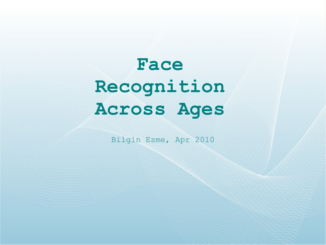# **Face Recognition Across Ages**

Bilgin Esme, Apr 2010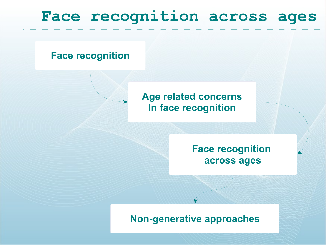# **Face recognition across ages**

#### **Face recognition**

#### **Age related concerns In face recognition**

#### **Face recognition across ages**

#### **Non-generative approaches**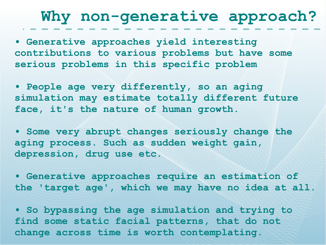### **Why non-generative approach?**

**• Generative approaches yield interesting contributions to various problems but have some serious problems in this specific problem**

**• People age very differently, so an aging simulation may estimate totally different future face, it's the nature of human growth.**

**• Some very abrupt changes seriously change the aging process. Such as sudden weight gain, depression, drug use etc.**

**• Generative approaches require an estimation of the 'target age', which we may have no idea at all.**

**• So bypassing the age simulation and trying to find some static facial patterns, that do not change across time is worth contemplating.**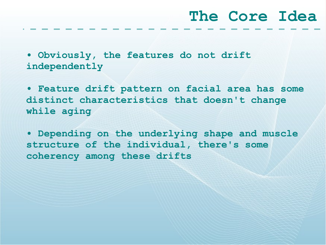#### **The Core Idea**

**• Obviously, the features do not drift independently** 

**• Feature drift pattern on facial area has some distinct characteristics that doesn't change while aging**

**• Depending on the underlying shape and muscle structure of the individual, there's some coherency among these drifts**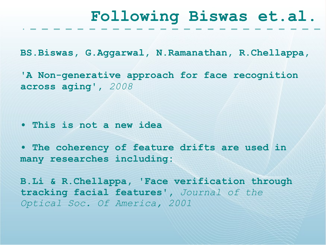#### **Following Biswas et.al.**

**BS.Biswas, G.Aggarwal, N.Ramanathan, R.Chellappa,** 

**'A Non-generative approach for face recognition across aging',** *2008*

**• This is not a new idea**

**• The coherency of feature drifts are used in many researches including:**

**B.Li & R.Chellappa, 'Face verification through tracking facial features',** *Journal of the Optical Soc. Of America, 2001*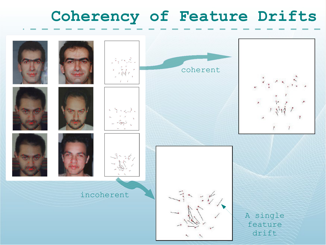### **Coherency of Feature Drifts**

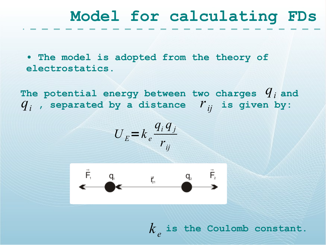### **Model for calculating FDs**

**• The model is adopted from the theory of electrostatics.**

The potential energy between two charges  $q_i$  and  $q_i$ , separated by a distance  $r_{ij}$  is given by:

$$
U_E = k_e \frac{q_i q_j}{r_{ij}}
$$



 $k_e$  is the Coulomb constant.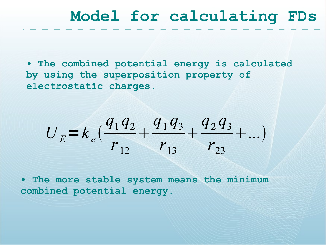# **Model for calculating FDs**

**• The combined potential energy is calculated by using the superposition property of electrostatic charges.**

$$
U_E = k_e \left( \frac{q_1 q_2}{r_{12}} + \frac{q_1 q_3}{r_{13}} + \frac{q_2 q_3}{r_{23}} + \dots \right)
$$

**• The more stable system means the minimum combined potential energy.**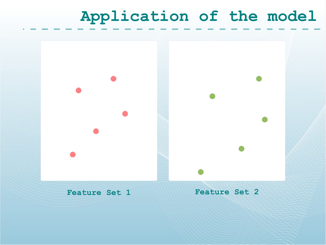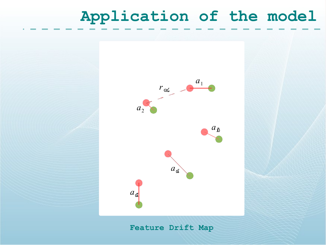

**Feature Drift Map**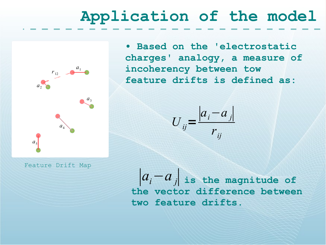**• Based on the 'electrostatic charges' analogy, a measure of incoherency between tow feature drifts is defined as:**

$$
U_{ij} = \frac{|a_i - a_j|}{r_{ij}}
$$

Feature Drift Map

 $a<sub>4</sub>$ 

 $a_2^{\dagger}$ 

 $a<sub>5</sub>$ 

 $r_{12}$ 

*a*1

*a*3

 $|a_i - a_j|$  is the magnitude of **the vector difference between two feature drifts.**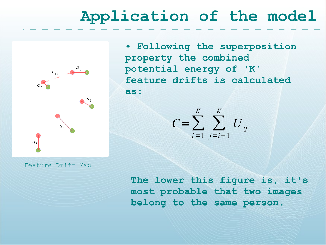

**• Following the superposition property the combined potential energy of 'K' feature drifts is calculated as:**



Feature Drift Map

**The lower this figure is, it's most probable that two images belong to the same person.**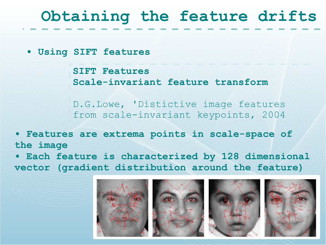# **Obtaining the feature drifts**

**• Using SIFT features**

**SIFT Features Scale-invariant feature transform**

D.G.Lowe, 'Distictive image features from scale-invariant keypoints, 2004

**• Features are extrema points in scale-space of the image**

**• Each feature is characterized by 128 dimensional vector (gradient distribution around the feature)**

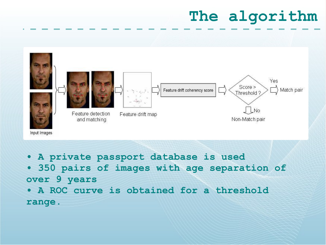# **The algorithm**



- **A private passport database is used**
- **350 pairs of images with age separation of over 9 years**
- **A ROC curve is obtained for a threshold range.**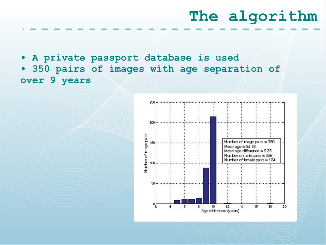# **The algorithm**

**• A private passport database is used**

**• 350 pairs of images with age separation of over 9 years**

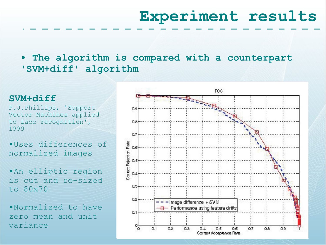# **Experiment results**

The algorithm is compared with a counterpart **'SVM+diff' algorithm**

#### **SVM+diff**

P.J.Phillips, 'Support Vector Machines applied to face recognition', 1999

**•**Uses differences of normalized images

**•**An elliptic region is cut and re-sized to 80x70

**•**Normalized to have zero mean and unit variance

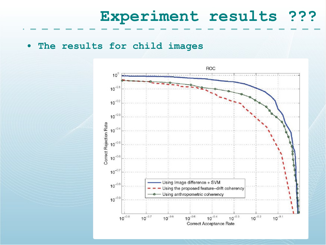#### **Experiment results ???**

**• The results for child images**

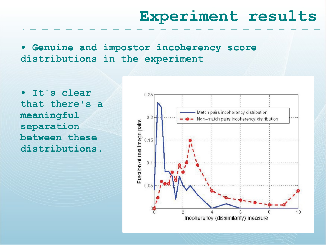#### **Experiment results**

**• Genuine and impostor incoherency score distributions in the experiment**

**• It's clear that there's a meaningful separation between these distributions.**

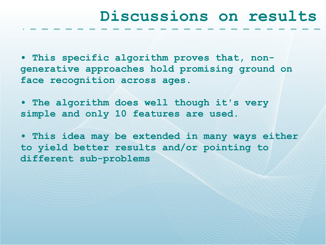#### **Discussions on results**

**• This specific algorithm proves that, nongenerative approaches hold promising ground on face recognition across ages.**

**• The algorithm does well though it's very simple and only 10 features are used.**

**• This idea may be extended in many ways either to yield better results and/or pointing to different sub-problems**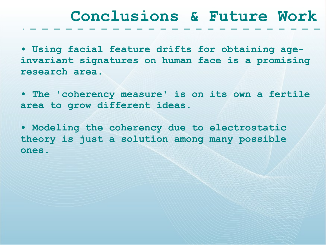#### **Conclusions & Future Work**

**• Using facial feature drifts for obtaining ageinvariant signatures on human face is a promising research area.**

**• The 'coherency measure' is on its own a fertile area to grow different ideas.**

**• Modeling the coherency due to electrostatic theory is just a solution among many possible ones.**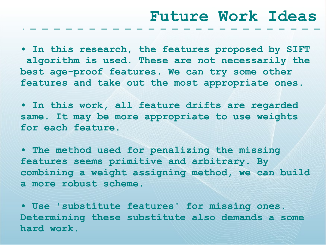**• In this research, the features proposed by SIFT algorithm is used. These are not necessarily the best age-proof features. We can try some other features and take out the most appropriate ones.**

**• In this work, all feature drifts are regarded same. It may be more appropriate to use weights for each feature.**

**• The method used for penalizing the missing features seems primitive and arbitrary. By combining a weight assigning method, we can build a more robust scheme.**

**• Use 'substitute features' for missing ones. Determining these substitute also demands a some hard work.**